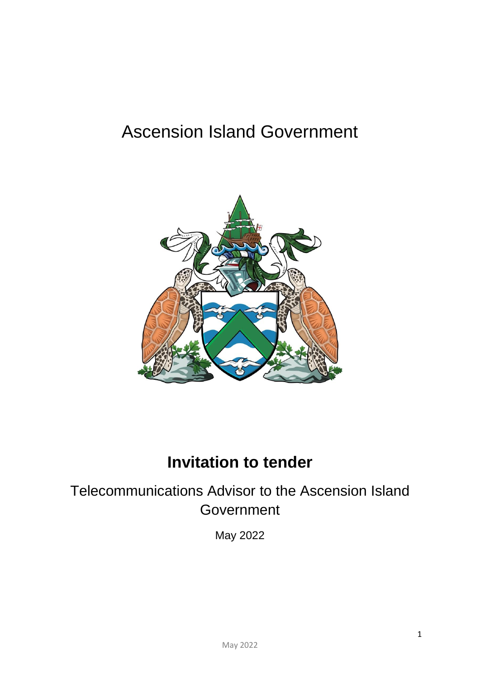# Ascension Island Government



# **Invitation to tender**

# Telecommunications Advisor to the Ascension Island **Government**

May 2022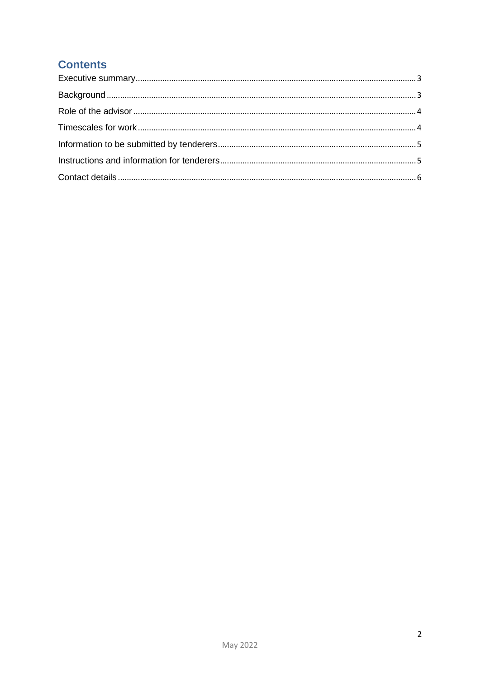# **Contents**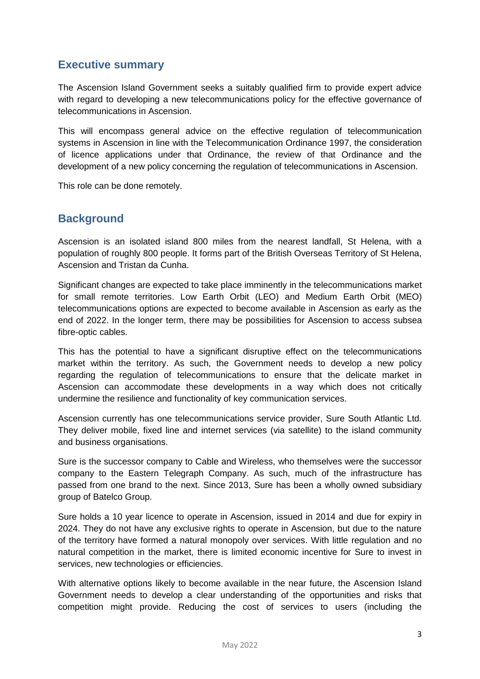### <span id="page-2-0"></span>**Executive summary**

The Ascension Island Government seeks a suitably qualified firm to provide expert advice with regard to developing a new telecommunications policy for the effective governance of telecommunications in Ascension.

This will encompass general advice on the effective regulation of telecommunication systems in Ascension in line with the Telecommunication Ordinance 1997, the consideration of licence applications under that Ordinance, the review of that Ordinance and the development of a new policy concerning the regulation of telecommunications in Ascension.

This role can be done remotely.

#### <span id="page-2-1"></span>**Background**

Ascension is an isolated island 800 miles from the nearest landfall, St Helena, with a population of roughly 800 people. It forms part of the British Overseas Territory of St Helena, Ascension and Tristan da Cunha.

Significant changes are expected to take place imminently in the telecommunications market for small remote territories. Low Earth Orbit (LEO) and Medium Earth Orbit (MEO) telecommunications options are expected to become available in Ascension as early as the end of 2022. In the longer term, there may be possibilities for Ascension to access subsea fibre-optic cables.

This has the potential to have a significant disruptive effect on the telecommunications market within the territory. As such, the Government needs to develop a new policy regarding the regulation of telecommunications to ensure that the delicate market in Ascension can accommodate these developments in a way which does not critically undermine the resilience and functionality of key communication services.

Ascension currently has one telecommunications service provider, Sure South Atlantic Ltd. They deliver mobile, fixed line and internet services (via satellite) to the island community and business organisations.

Sure is the successor company to Cable and Wireless, who themselves were the successor company to the Eastern Telegraph Company. As such, much of the infrastructure has passed from one brand to the next. Since 2013, Sure has been a wholly owned subsidiary group of Batelco Group.

Sure holds a 10 year licence to operate in Ascension, issued in 2014 and due for expiry in 2024. They do not have any exclusive rights to operate in Ascension, but due to the nature of the territory have formed a natural monopoly over services. With little regulation and no natural competition in the market, there is limited economic incentive for Sure to invest in services, new technologies or efficiencies.

With alternative options likely to become available in the near future, the Ascension Island Government needs to develop a clear understanding of the opportunities and risks that competition might provide. Reducing the cost of services to users (including the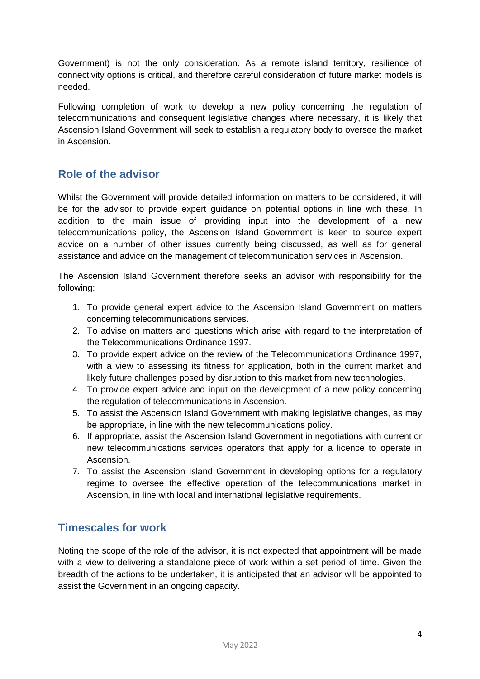Government) is not the only consideration. As a remote island territory, resilience of connectivity options is critical, and therefore careful consideration of future market models is needed.

Following completion of work to develop a new policy concerning the regulation of telecommunications and consequent legislative changes where necessary, it is likely that Ascension Island Government will seek to establish a regulatory body to oversee the market in Ascension.

## <span id="page-3-0"></span>**Role of the advisor**

Whilst the Government will provide detailed information on matters to be considered, it will be for the advisor to provide expert guidance on potential options in line with these. In addition to the main issue of providing input into the development of a new telecommunications policy, the Ascension Island Government is keen to source expert advice on a number of other issues currently being discussed, as well as for general assistance and advice on the management of telecommunication services in Ascension.

The Ascension Island Government therefore seeks an advisor with responsibility for the following:

- 1. To provide general expert advice to the Ascension Island Government on matters concerning telecommunications services.
- 2. To advise on matters and questions which arise with regard to the interpretation of the Telecommunications Ordinance 1997.
- 3. To provide expert advice on the review of the Telecommunications Ordinance 1997, with a view to assessing its fitness for application, both in the current market and likely future challenges posed by disruption to this market from new technologies.
- 4. To provide expert advice and input on the development of a new policy concerning the regulation of telecommunications in Ascension.
- 5. To assist the Ascension Island Government with making legislative changes, as may be appropriate, in line with the new telecommunications policy.
- 6. If appropriate, assist the Ascension Island Government in negotiations with current or new telecommunications services operators that apply for a licence to operate in Ascension.
- 7. To assist the Ascension Island Government in developing options for a regulatory regime to oversee the effective operation of the telecommunications market in Ascension, in line with local and international legislative requirements.

### <span id="page-3-1"></span>**Timescales for work**

Noting the scope of the role of the advisor, it is not expected that appointment will be made with a view to delivering a standalone piece of work within a set period of time. Given the breadth of the actions to be undertaken, it is anticipated that an advisor will be appointed to assist the Government in an ongoing capacity.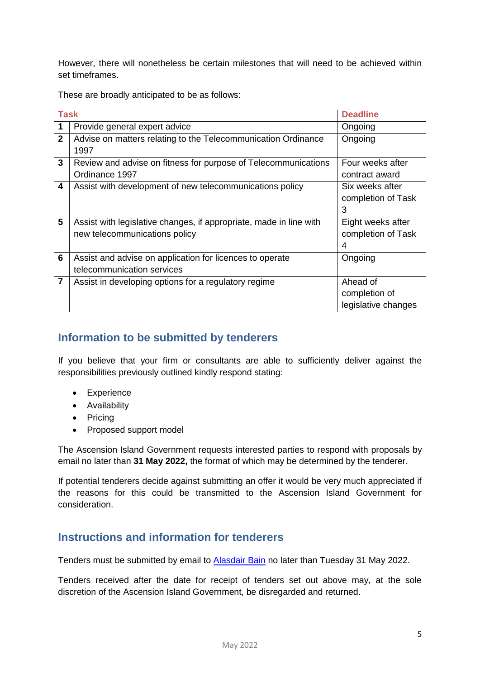However, there will nonetheless be certain milestones that will need to be achieved within set timeframes.

These are broadly anticipated to be as follows:

| <b>Task</b>    |                                                                    | <b>Deadline</b>     |
|----------------|--------------------------------------------------------------------|---------------------|
| $\mathbf 1$    | Provide general expert advice                                      | Ongoing             |
| $\overline{2}$ | Advise on matters relating to the Telecommunication Ordinance      | Ongoing             |
|                | 1997                                                               |                     |
| 3              | Review and advise on fitness for purpose of Telecommunications     | Four weeks after    |
|                | Ordinance 1997                                                     | contract award      |
| 4              | Assist with development of new telecommunications policy           | Six weeks after     |
|                |                                                                    | completion of Task  |
|                |                                                                    | 3                   |
| 5              | Assist with legislative changes, if appropriate, made in line with | Eight weeks after   |
|                | new telecommunications policy                                      | completion of Task  |
|                |                                                                    | 4                   |
| 6              | Assist and advise on application for licences to operate           | Ongoing             |
|                | telecommunication services                                         |                     |
| $\overline{7}$ | Assist in developing options for a regulatory regime               | Ahead of            |
|                |                                                                    | completion of       |
|                |                                                                    | legislative changes |

### <span id="page-4-0"></span>**Information to be submitted by tenderers**

If you believe that your firm or consultants are able to sufficiently deliver against the responsibilities previously outlined kindly respond stating:

- Experience
- **•** Availability
- Pricing
- Proposed support model

The Ascension Island Government requests interested parties to respond with proposals by email no later than **31 May 2022,** the format of which may be determined by the tenderer.

If potential tenderers decide against submitting an offer it would be very much appreciated if the reasons for this could be transmitted to the Ascension Island Government for consideration.

### <span id="page-4-1"></span>**Instructions and information for tenderers**

Tenders must be submitted by email to [Alasdair Bain](mailto:Alasdair.bain@ascension.gov.ac) no later than Tuesday 31 May 2022.

Tenders received after the date for receipt of tenders set out above may, at the sole discretion of the Ascension Island Government, be disregarded and returned.